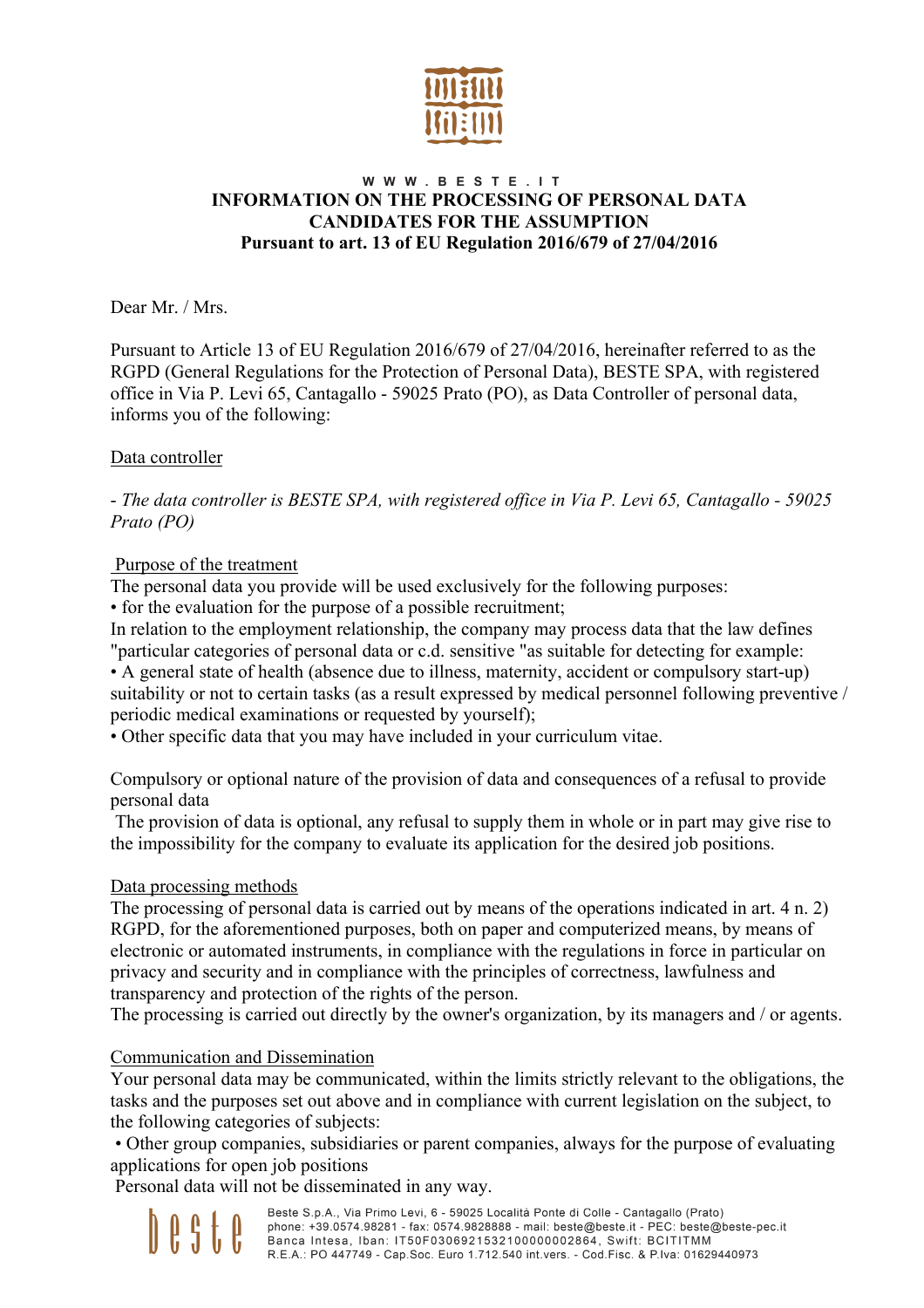

# WWW.BESTE.IT **INFORMATION ON THE PROCESSING OF PERSONAL DATA CANDIDATES FOR THE ASSUMPTION Pursuant to art. 13 of EU Regulation 2016/679 of 27/04/2016**

Dear Mr. / Mrs.

Pursuant to Article 13 of EU Regulation 2016/679 of 27/04/2016, hereinafter referred to as the RGPD (General Regulations for the Protection of Personal Data), BESTE SPA, with registered office in Via P. Levi 65, Cantagallo - 59025 Prato (PO), as Data Controller of personal data, informs you of the following:

# Data controller

- *The data controller is BESTE SPA, with registered office in Via P. Levi 65, Cantagallo - 59025 Prato (PO)*

# Purpose of the treatment

The personal data you provide will be used exclusively for the following purposes:

• for the evaluation for the purpose of a possible recruitment;

In relation to the employment relationship, the company may process data that the law defines "particular categories of personal data or c.d. sensitive "as suitable for detecting for example:

• A general state of health (absence due to illness, maternity, accident or compulsory start-up) suitability or not to certain tasks (as a result expressed by medical personnel following preventive / periodic medical examinations or requested by yourself);

• Other specific data that you may have included in your curriculum vitae.

Compulsory or optional nature of the provision of data and consequences of a refusal to provide personal data

The provision of data is optional, any refusal to supply them in whole or in part may give rise to the impossibility for the company to evaluate its application for the desired job positions.

# Data processing methods

The processing of personal data is carried out by means of the operations indicated in art. 4 n. 2) RGPD, for the aforementioned purposes, both on paper and computerized means, by means of electronic or automated instruments, in compliance with the regulations in force in particular on privacy and security and in compliance with the principles of correctness, lawfulness and transparency and protection of the rights of the person.

The processing is carried out directly by the owner's organization, by its managers and / or agents.

#### Communication and Dissemination

Your personal data may be communicated, within the limits strictly relevant to the obligations, the tasks and the purposes set out above and in compliance with current legislation on the subject, to the following categories of subjects:

• Other group companies, subsidiaries or parent companies, always for the purpose of evaluating applications for open job positions

Personal data will not be disseminated in any way.

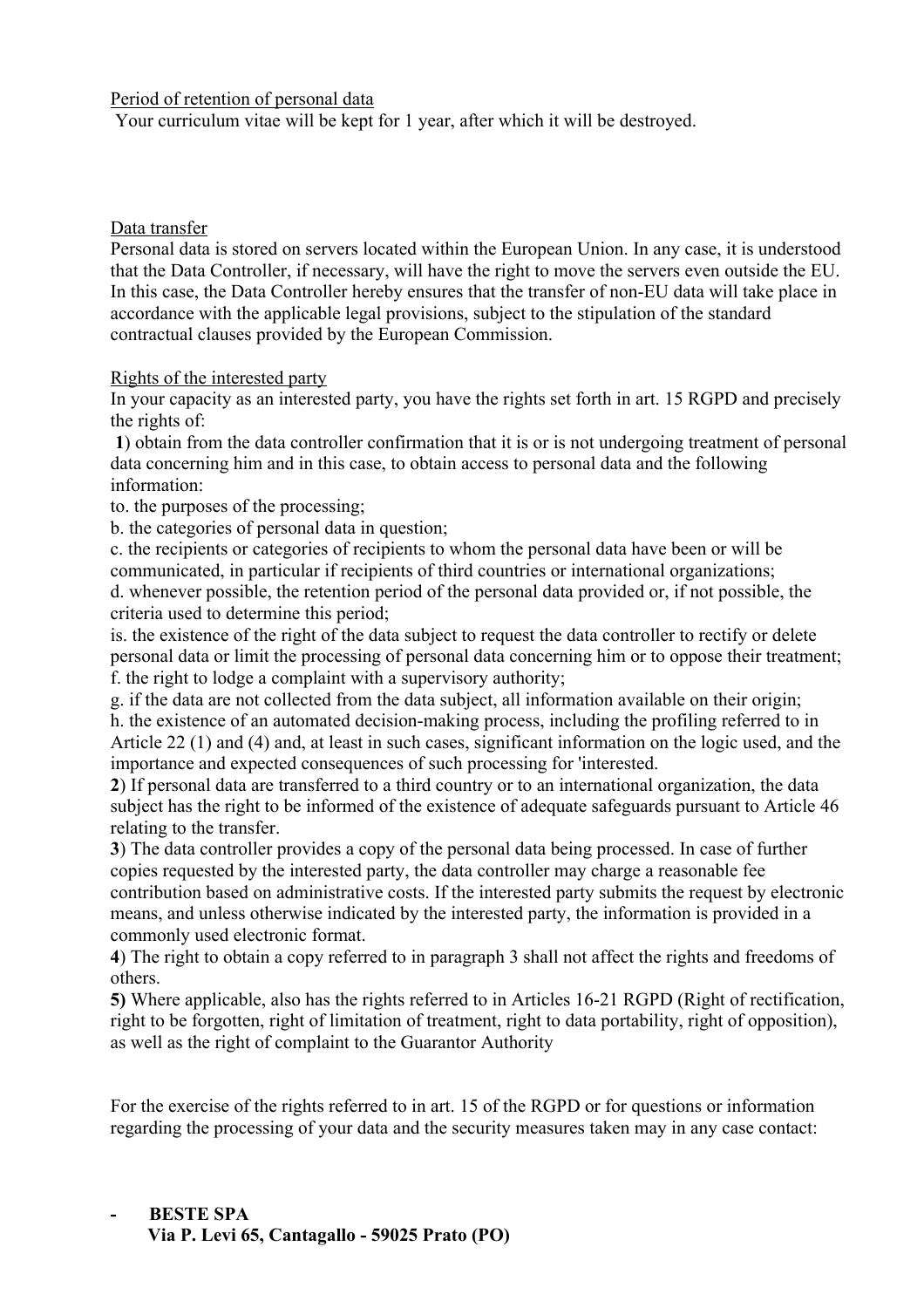Period of retention of personal data

Your curriculum vitae will be kept for 1 year, after which it will be destroyed.

#### Data transfer

Personal data is stored on servers located within the European Union. In any case, it is understood that the Data Controller, if necessary, will have the right to move the servers even outside the EU. In this case, the Data Controller hereby ensures that the transfer of non-EU data will take place in accordance with the applicable legal provisions, subject to the stipulation of the standard contractual clauses provided by the European Commission.

# Rights of the interested party

In your capacity as an interested party, you have the rights set forth in art. 15 RGPD and precisely the rights of:

**1**) obtain from the data controller confirmation that it is or is not undergoing treatment of personal data concerning him and in this case, to obtain access to personal data and the following information:

to. the purposes of the processing;

b. the categories of personal data in question;

c. the recipients or categories of recipients to whom the personal data have been or will be communicated, in particular if recipients of third countries or international organizations; d. whenever possible, the retention period of the personal data provided or, if not possible, the criteria used to determine this period;

is. the existence of the right of the data subject to request the data controller to rectify or delete personal data or limit the processing of personal data concerning him or to oppose their treatment; f. the right to lodge a complaint with a supervisory authority;

g. if the data are not collected from the data subject, all information available on their origin; h. the existence of an automated decision-making process, including the profiling referred to in Article 22 (1) and (4) and, at least in such cases, significant information on the logic used, and the importance and expected consequences of such processing for 'interested.

**2**) If personal data are transferred to a third country or to an international organization, the data subject has the right to be informed of the existence of adequate safeguards pursuant to Article 46 relating to the transfer.

**3**) The data controller provides a copy of the personal data being processed. In case of further copies requested by the interested party, the data controller may charge a reasonable fee contribution based on administrative costs. If the interested party submits the request by electronic means, and unless otherwise indicated by the interested party, the information is provided in a commonly used electronic format.

**4**) The right to obtain a copy referred to in paragraph 3 shall not affect the rights and freedoms of others.

**5)** Where applicable, also has the rights referred to in Articles 16-21 RGPD (Right of rectification, right to be forgotten, right of limitation of treatment, right to data portability, right of opposition), as well as the right of complaint to the Guarantor Authority

For the exercise of the rights referred to in art. 15 of the RGPD or for questions or information regarding the processing of your data and the security measures taken may in any case contact: